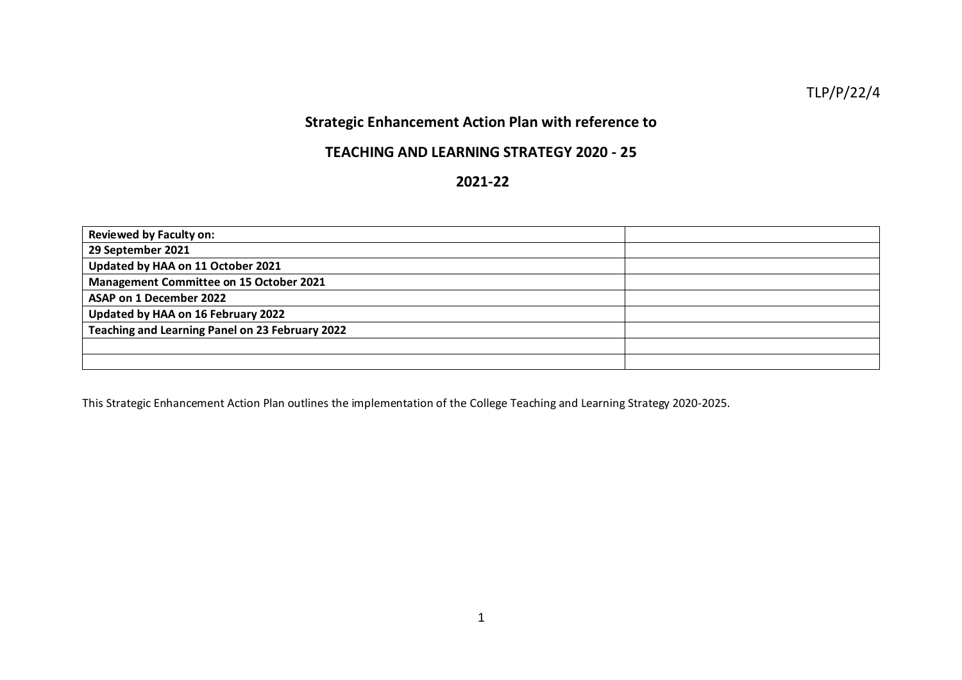TLP/P/22/4

## **Strategic Enhancement Action Plan with reference to**

## **TEACHING AND LEARNING STRATEGY 2020 - 25**

## **2021-22**

| <b>Reviewed by Faculty on:</b>                  |  |
|-------------------------------------------------|--|
| 29 September 2021                               |  |
| Updated by HAA on 11 October 2021               |  |
| <b>Management Committee on 15 October 2021</b>  |  |
| ASAP on 1 December 2022                         |  |
| Updated by HAA on 16 February 2022              |  |
| Teaching and Learning Panel on 23 February 2022 |  |
|                                                 |  |
|                                                 |  |

This Strategic Enhancement Action Plan outlines the implementation of the College Teaching and Learning Strategy 2020-2025.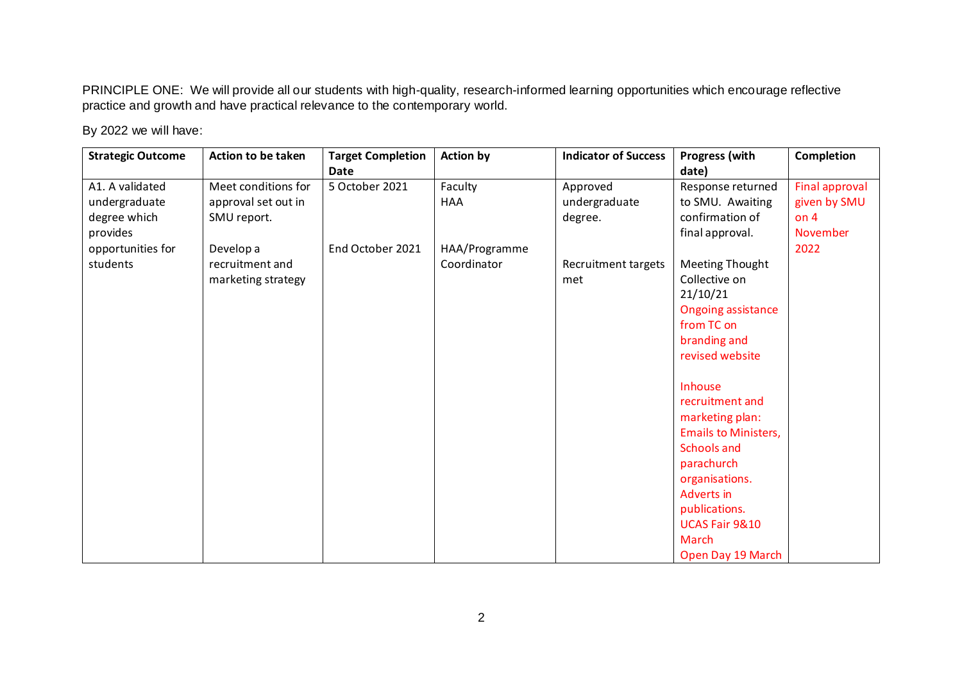PRINCIPLE ONE: We will provide all our students with high-quality, research-informed learning opportunities which encourage reflective practice and growth and have practical relevance to the contemporary world.

| <b>Strategic Outcome</b> | Action to be taken  | <b>Target Completion</b> | <b>Action by</b> | <b>Indicator of Success</b> | <b>Progress (with</b>       | Completion            |
|--------------------------|---------------------|--------------------------|------------------|-----------------------------|-----------------------------|-----------------------|
|                          |                     | Date                     |                  |                             | date)                       |                       |
| A1. A validated          | Meet conditions for | 5 October 2021           | Faculty          | Approved                    | Response returned           | <b>Final approval</b> |
| undergraduate            | approval set out in |                          | <b>HAA</b>       | undergraduate               | to SMU. Awaiting            | given by SMU          |
| degree which             | SMU report.         |                          |                  | degree.                     | confirmation of             | on $4$                |
| provides                 |                     |                          |                  |                             | final approval.             | November              |
| opportunities for        | Develop a           | End October 2021         | HAA/Programme    |                             |                             | 2022                  |
| students                 | recruitment and     |                          | Coordinator      | <b>Recruitment targets</b>  | <b>Meeting Thought</b>      |                       |
|                          | marketing strategy  |                          |                  | met                         | Collective on               |                       |
|                          |                     |                          |                  |                             | 21/10/21                    |                       |
|                          |                     |                          |                  |                             | <b>Ongoing assistance</b>   |                       |
|                          |                     |                          |                  |                             | from TC on                  |                       |
|                          |                     |                          |                  |                             | branding and                |                       |
|                          |                     |                          |                  |                             | revised website             |                       |
|                          |                     |                          |                  |                             |                             |                       |
|                          |                     |                          |                  |                             | Inhouse                     |                       |
|                          |                     |                          |                  |                             | recruitment and             |                       |
|                          |                     |                          |                  |                             | marketing plan:             |                       |
|                          |                     |                          |                  |                             | <b>Emails to Ministers,</b> |                       |
|                          |                     |                          |                  |                             | Schools and                 |                       |
|                          |                     |                          |                  |                             | parachurch                  |                       |
|                          |                     |                          |                  |                             | organisations.              |                       |
|                          |                     |                          |                  |                             | Adverts in                  |                       |
|                          |                     |                          |                  |                             | publications.               |                       |
|                          |                     |                          |                  |                             | UCAS Fair 9&10              |                       |
|                          |                     |                          |                  |                             | <b>March</b>                |                       |
|                          |                     |                          |                  |                             | Open Day 19 March           |                       |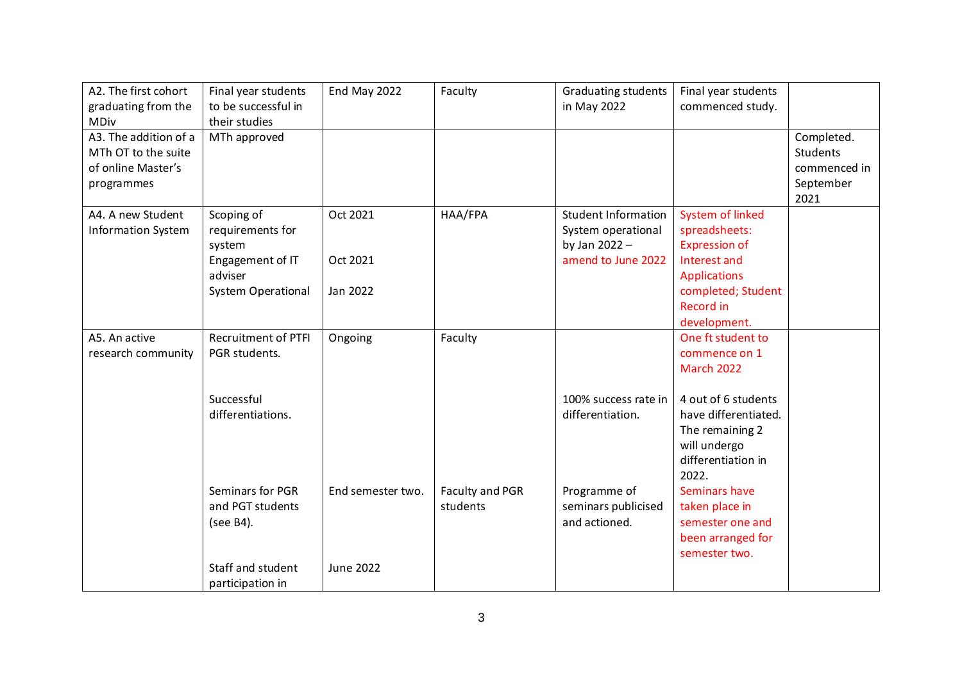| A2. The first cohort      | Final year students        | End May 2022      | Faculty         | <b>Graduating students</b> | Final year students     |                 |
|---------------------------|----------------------------|-------------------|-----------------|----------------------------|-------------------------|-----------------|
| graduating from the       | to be successful in        |                   |                 | in May 2022                | commenced study.        |                 |
| <b>MDiv</b>               | their studies              |                   |                 |                            |                         |                 |
| A3. The addition of a     | MTh approved               |                   |                 |                            |                         | Completed.      |
| MTh OT to the suite       |                            |                   |                 |                            |                         | <b>Students</b> |
| of online Master's        |                            |                   |                 |                            |                         | commenced in    |
| programmes                |                            |                   |                 |                            |                         | September       |
|                           |                            |                   |                 |                            |                         | 2021            |
| A4. A new Student         | Scoping of                 | Oct 2021          | HAA/FPA         | <b>Student Information</b> | <b>System of linked</b> |                 |
| <b>Information System</b> | requirements for           |                   |                 | System operational         | spreadsheets:           |                 |
|                           | system                     |                   |                 | by Jan 2022 -              | <b>Expression of</b>    |                 |
|                           | Engagement of IT           | Oct 2021          |                 | amend to June 2022         | Interest and            |                 |
|                           | adviser                    |                   |                 |                            | <b>Applications</b>     |                 |
|                           | <b>System Operational</b>  | Jan 2022          |                 |                            | completed; Student      |                 |
|                           |                            |                   |                 |                            | Record in               |                 |
|                           |                            |                   |                 |                            | development.            |                 |
| A5. An active             | <b>Recruitment of PTFI</b> | Ongoing           | Faculty         |                            | One ft student to       |                 |
| research community        | PGR students.              |                   |                 |                            | commence on 1           |                 |
|                           |                            |                   |                 |                            | March 2022              |                 |
|                           | Successful                 |                   |                 | 100% success rate in       | 4 out of 6 students     |                 |
|                           | differentiations.          |                   |                 | differentiation.           | have differentiated.    |                 |
|                           |                            |                   |                 |                            | The remaining 2         |                 |
|                           |                            |                   |                 |                            | will undergo            |                 |
|                           |                            |                   |                 |                            | differentiation in      |                 |
|                           |                            |                   |                 |                            | 2022.                   |                 |
|                           | Seminars for PGR           | End semester two. | Faculty and PGR | Programme of               | Seminars have           |                 |
|                           | and PGT students           |                   | students        | seminars publicised        | taken place in          |                 |
|                           | (see B4).                  |                   |                 | and actioned.              | semester one and        |                 |
|                           |                            |                   |                 |                            | been arranged for       |                 |
|                           |                            |                   |                 |                            | semester two.           |                 |
|                           | Staff and student          | <b>June 2022</b>  |                 |                            |                         |                 |
|                           | participation in           |                   |                 |                            |                         |                 |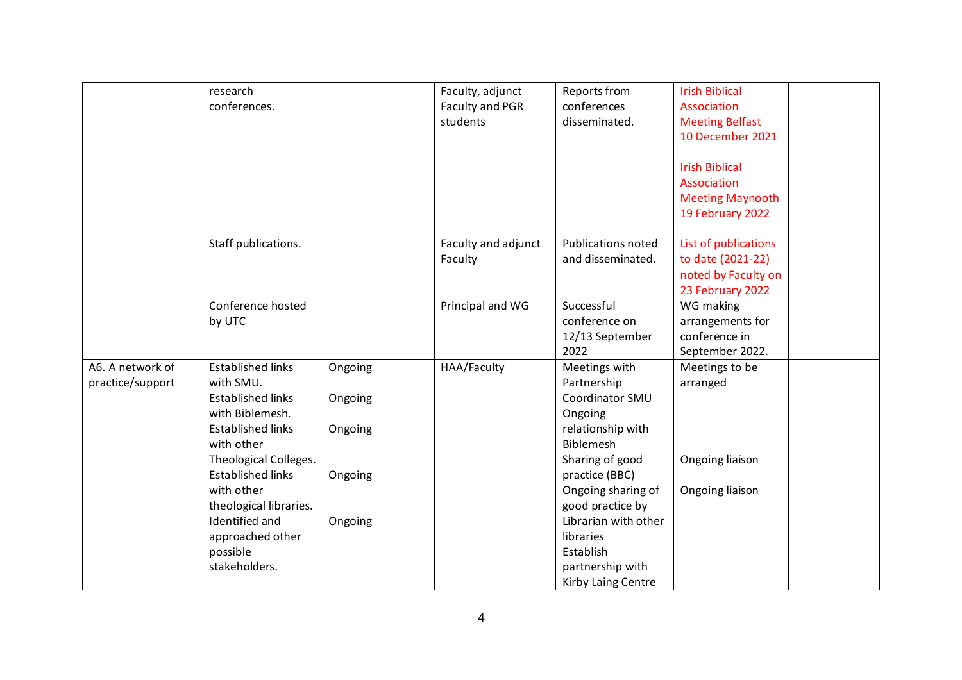|                  | research                 |         | Faculty, adjunct    | Reports from              | <b>Irish Biblical</b>   |
|------------------|--------------------------|---------|---------------------|---------------------------|-------------------------|
|                  | conferences.             |         | Faculty and PGR     | conferences               | Association             |
|                  |                          |         | students            | disseminated.             | <b>Meeting Belfast</b>  |
|                  |                          |         |                     |                           | 10 December 2021        |
|                  |                          |         |                     |                           |                         |
|                  |                          |         |                     |                           | <b>Irish Biblical</b>   |
|                  |                          |         |                     |                           | Association             |
|                  |                          |         |                     |                           |                         |
|                  |                          |         |                     |                           | <b>Meeting Maynooth</b> |
|                  |                          |         |                     |                           | 19 February 2022        |
|                  | Staff publications.      |         | Faculty and adjunct | <b>Publications noted</b> | List of publications    |
|                  |                          |         | Faculty             | and disseminated.         | to date (2021-22)       |
|                  |                          |         |                     |                           | noted by Faculty on     |
|                  |                          |         |                     |                           | 23 February 2022        |
|                  | Conference hosted        |         | Principal and WG    | Successful                | WG making               |
|                  | by UTC                   |         |                     | conference on             | arrangements for        |
|                  |                          |         |                     | 12/13 September           | conference in           |
|                  |                          |         |                     | 2022                      | September 2022.         |
| A6. A network of | <b>Established links</b> | Ongoing | HAA/Faculty         | Meetings with             | Meetings to be          |
| practice/support | with SMU.                |         |                     | Partnership               | arranged                |
|                  | <b>Established links</b> | Ongoing |                     | Coordinator SMU           |                         |
|                  | with Biblemesh.          |         |                     | Ongoing                   |                         |
|                  | <b>Established links</b> | Ongoing |                     | relationship with         |                         |
|                  | with other               |         |                     | <b>Biblemesh</b>          |                         |
|                  | Theological Colleges.    |         |                     | Sharing of good           | Ongoing liaison         |
|                  | <b>Established links</b> | Ongoing |                     | practice (BBC)            |                         |
|                  | with other               |         |                     | Ongoing sharing of        | Ongoing liaison         |
|                  | theological libraries.   |         |                     | good practice by          |                         |
|                  | Identified and           | Ongoing |                     | Librarian with other      |                         |
|                  | approached other         |         |                     | libraries                 |                         |
|                  | possible                 |         |                     | Establish                 |                         |
|                  | stakeholders.            |         |                     | partnership with          |                         |
|                  |                          |         |                     | Kirby Laing Centre        |                         |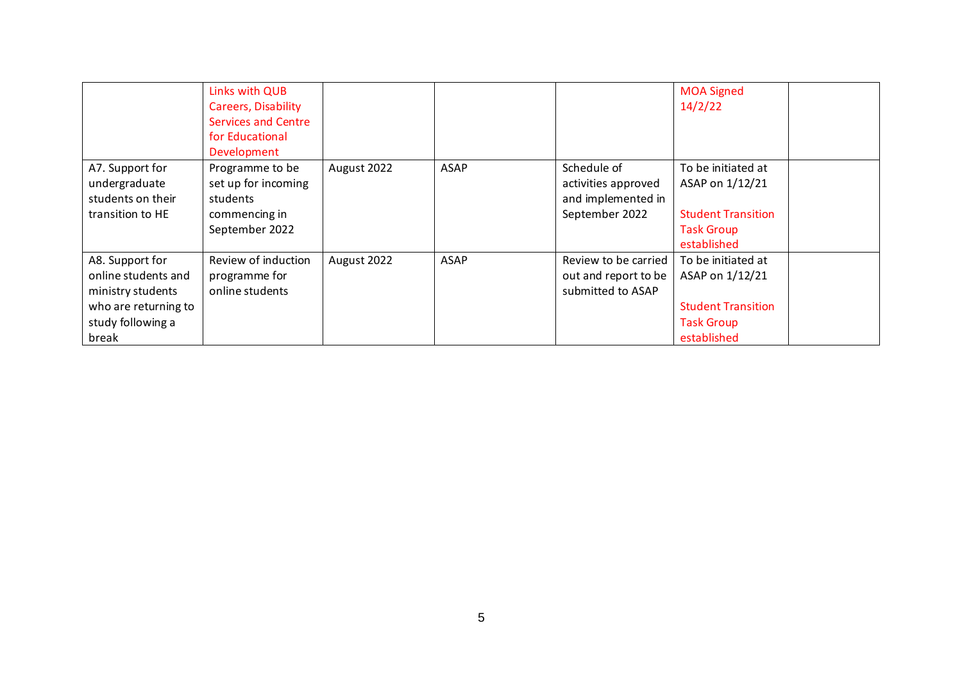|                                                                                                                   | Links with QUB<br>Careers, Disability<br><b>Services and Centre</b><br>for Educational<br>Development |             |             |                                                                            | <b>MOA Signed</b><br>14/2/22                                                                           |
|-------------------------------------------------------------------------------------------------------------------|-------------------------------------------------------------------------------------------------------|-------------|-------------|----------------------------------------------------------------------------|--------------------------------------------------------------------------------------------------------|
| A7. Support for<br>undergraduate<br>students on their<br>transition to HE                                         | Programme to be<br>set up for incoming<br>students<br>commencing in<br>September 2022                 | August 2022 | <b>ASAP</b> | Schedule of<br>activities approved<br>and implemented in<br>September 2022 | To be initiated at<br>ASAP on 1/12/21<br><b>Student Transition</b><br><b>Task Group</b><br>established |
| A8. Support for<br>online students and<br>ministry students<br>who are returning to<br>study following a<br>break | Review of induction<br>programme for<br>online students                                               | August 2022 | <b>ASAP</b> | Review to be carried<br>out and report to be<br>submitted to ASAP          | To be initiated at<br>ASAP on 1/12/21<br><b>Student Transition</b><br><b>Task Group</b><br>established |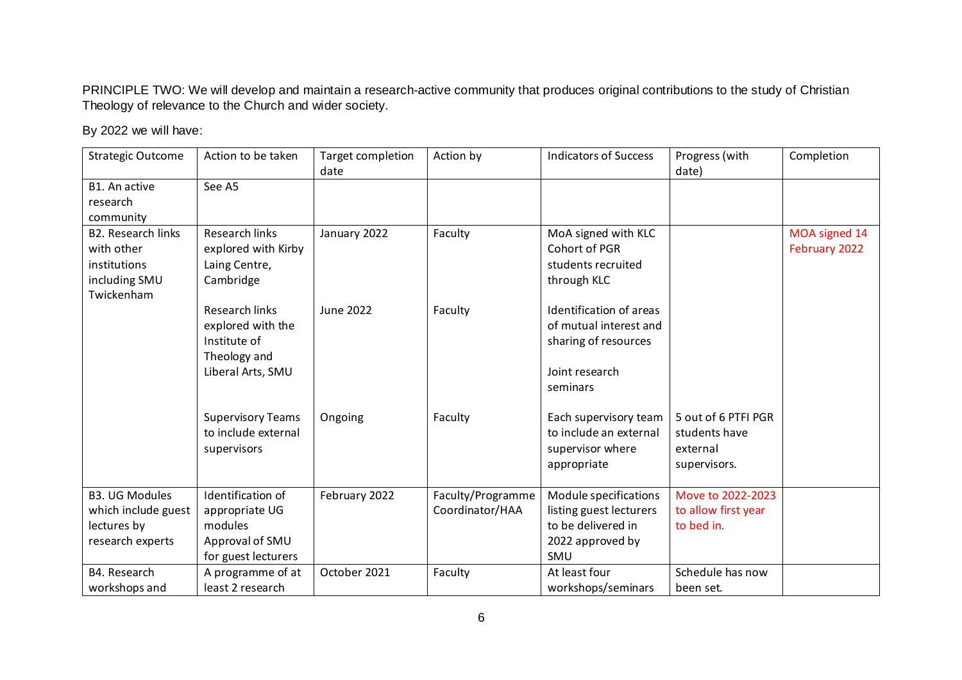PRINCIPLE TWO: We will develop and maintain a research-active community that produces original contributions to the study of Christian Theology of relevance to the Church and wider society.

| <b>Strategic Outcome</b>    | Action to be taken       | <b>Target completion</b><br>date | Action by         | <b>Indicators of Success</b> | Progress (with<br>date) | Completion    |
|-----------------------------|--------------------------|----------------------------------|-------------------|------------------------------|-------------------------|---------------|
| B1. An active               | See A5                   |                                  |                   |                              |                         |               |
| research                    |                          |                                  |                   |                              |                         |               |
| community                   |                          |                                  |                   |                              |                         |               |
| <b>B2. Research links</b>   | <b>Research links</b>    | January 2022                     | Faculty           | MoA signed with KLC          |                         | MOA signed 14 |
| with other                  | explored with Kirby      |                                  |                   | Cohort of PGR                |                         | February 2022 |
| institutions                | Laing Centre,            |                                  |                   | students recruited           |                         |               |
| including SMU<br>Twickenham | Cambridge                |                                  |                   | through KLC                  |                         |               |
|                             | <b>Research links</b>    | <b>June 2022</b>                 | Faculty           | Identification of areas      |                         |               |
|                             | explored with the        |                                  |                   | of mutual interest and       |                         |               |
|                             | Institute of             |                                  |                   | sharing of resources         |                         |               |
|                             | Theology and             |                                  |                   |                              |                         |               |
|                             | Liberal Arts, SMU        |                                  |                   | Joint research               |                         |               |
|                             |                          |                                  |                   | seminars                     |                         |               |
|                             | <b>Supervisory Teams</b> | Ongoing                          | Faculty           | Each supervisory team        | 5 out of 6 PTFI PGR     |               |
|                             | to include external      |                                  |                   | to include an external       | students have           |               |
|                             | supervisors              |                                  |                   | supervisor where             | external                |               |
|                             |                          |                                  |                   | appropriate                  | supervisors.            |               |
| <b>B3. UG Modules</b>       | Identification of        | February 2022                    | Faculty/Programme | Module specifications        | Move to 2022-2023       |               |
| which include guest         | appropriate UG           |                                  | Coordinator/HAA   | listing guest lecturers      | to allow first year     |               |
| lectures by                 | modules                  |                                  |                   | to be delivered in           | to bed in.              |               |
| research experts            | Approval of SMU          |                                  |                   | 2022 approved by             |                         |               |
|                             | for guest lecturers      |                                  |                   | SMU                          |                         |               |
| B4. Research                | A programme of at        | October 2021                     | Faculty           | At least four                | Schedule has now        |               |
| workshops and               | least 2 research         |                                  |                   | workshops/seminars           | been set.               |               |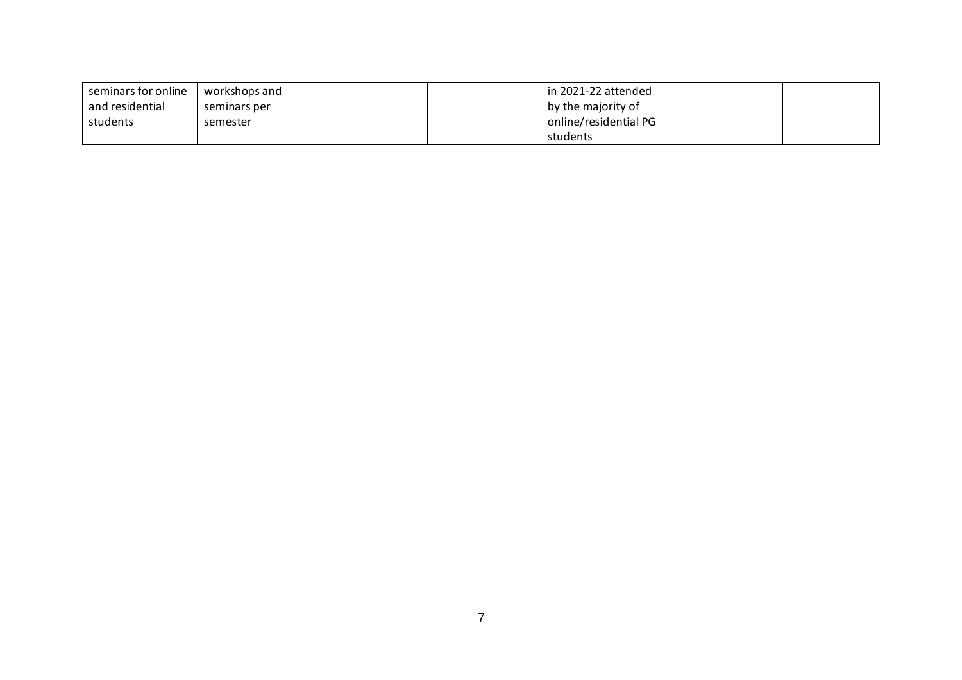| seminars for online | workshops and |  | in 2021-22 attended   |  |
|---------------------|---------------|--|-----------------------|--|
| and residential     | seminars per  |  | by the majority of    |  |
| students            | semester      |  | online/residential PG |  |
|                     |               |  | students              |  |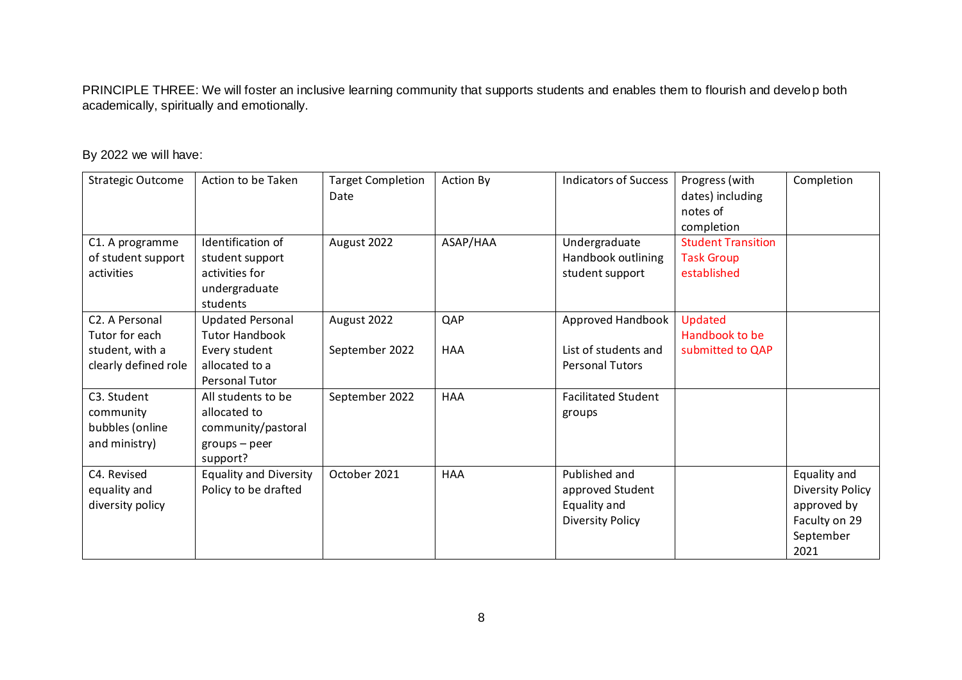PRINCIPLE THREE: We will foster an inclusive learning community that supports students and enables them to flourish and develop both academically, spiritually and emotionally.

| <b>Strategic Outcome</b>                                                                 | Action to be Taken                                                                                    | <b>Target Completion</b><br>Date | <b>Action By</b>  | <b>Indicators of Success</b>                                                 | Progress (with<br>dates) including<br>notes of<br>completion  | Completion                                                                                   |
|------------------------------------------------------------------------------------------|-------------------------------------------------------------------------------------------------------|----------------------------------|-------------------|------------------------------------------------------------------------------|---------------------------------------------------------------|----------------------------------------------------------------------------------------------|
| C1. A programme<br>of student support<br>activities                                      | Identification of<br>student support<br>activities for<br>undergraduate<br>students                   | August 2022                      | ASAP/HAA          | Undergraduate<br>Handbook outlining<br>student support                       | <b>Student Transition</b><br><b>Task Group</b><br>established |                                                                                              |
| C <sub>2</sub> . A Personal<br>Tutor for each<br>student, with a<br>clearly defined role | <b>Updated Personal</b><br><b>Tutor Handbook</b><br>Every student<br>allocated to a<br>Personal Tutor | August 2022<br>September 2022    | QAP<br><b>HAA</b> | Approved Handbook<br>List of students and<br><b>Personal Tutors</b>          | <b>Updated</b><br>Handbook to be<br>submitted to QAP          |                                                                                              |
| C3. Student<br>community<br>bubbles (online<br>and ministry)                             | All students to be<br>allocated to<br>community/pastoral<br>$groups - peer$<br>support?               | September 2022                   | <b>HAA</b>        | <b>Facilitated Student</b><br>groups                                         |                                                               |                                                                                              |
| C4. Revised<br>equality and<br>diversity policy                                          | <b>Equality and Diversity</b><br>Policy to be drafted                                                 | October 2021                     | <b>HAA</b>        | Published and<br>approved Student<br>Equality and<br><b>Diversity Policy</b> |                                                               | Equality and<br><b>Diversity Policy</b><br>approved by<br>Faculty on 29<br>September<br>2021 |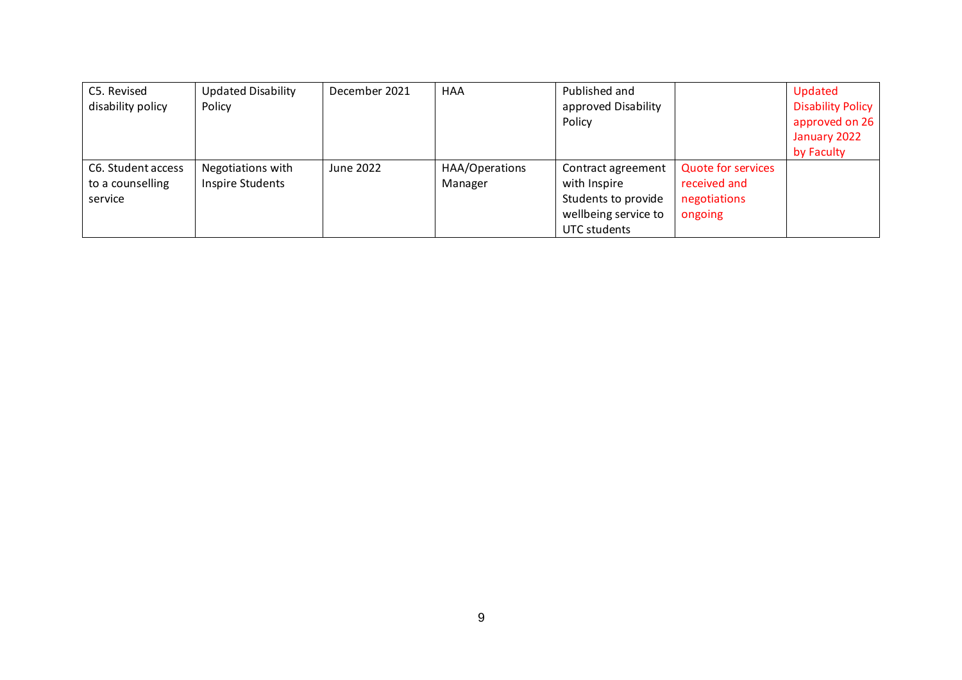| C5. Revised<br>disability policy | <b>Updated Disability</b><br>Policy | December 2021 | HAA            | Published and<br>approved Disability |                           | Updated<br><b>Disability Policy</b> |
|----------------------------------|-------------------------------------|---------------|----------------|--------------------------------------|---------------------------|-------------------------------------|
|                                  |                                     |               |                | Policy                               |                           | approved on 26<br>January 2022      |
|                                  |                                     |               |                |                                      |                           |                                     |
|                                  |                                     |               |                |                                      |                           | by Faculty                          |
| C6. Student access               | Negotiations with                   | June 2022     | HAA/Operations | Contract agreement                   | <b>Quote for services</b> |                                     |
| to a counselling                 | <b>Inspire Students</b>             |               | Manager        | with Inspire                         | received and              |                                     |
| service                          |                                     |               |                | Students to provide                  | negotiations              |                                     |
|                                  |                                     |               |                | wellbeing service to                 | ongoing                   |                                     |
|                                  |                                     |               |                | UTC students                         |                           |                                     |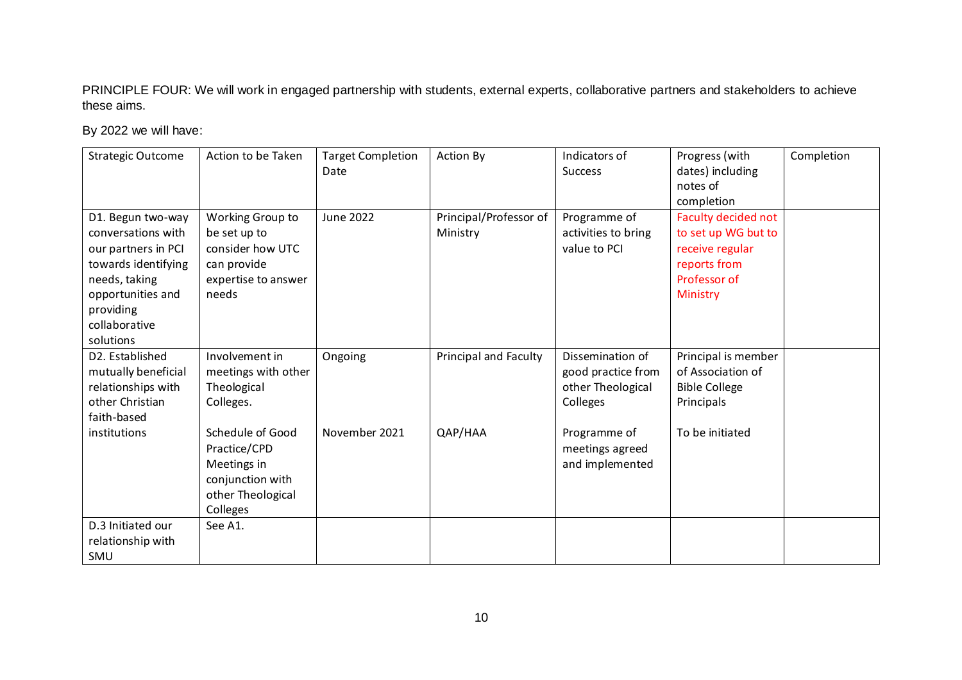PRINCIPLE FOUR: We will work in engaged partnership with students, external experts, collaborative partners and stakeholders to achieve these aims.

|                          | Action to be Taken  | <b>Target Completion</b> |                              | Indicators of       |                      |            |
|--------------------------|---------------------|--------------------------|------------------------------|---------------------|----------------------|------------|
| <b>Strategic Outcome</b> |                     |                          | <b>Action By</b>             |                     | Progress (with       | Completion |
|                          |                     | Date                     |                              | <b>Success</b>      | dates) including     |            |
|                          |                     |                          |                              |                     | notes of             |            |
|                          |                     |                          |                              |                     | completion           |            |
| D1. Begun two-way        | Working Group to    | <b>June 2022</b>         | Principal/Professor of       | Programme of        | Faculty decided not  |            |
| conversations with       | be set up to        |                          | Ministry                     | activities to bring | to set up WG but to  |            |
| our partners in PCI      | consider how UTC    |                          |                              | value to PCI        | receive regular      |            |
| towards identifying      | can provide         |                          |                              |                     | reports from         |            |
| needs, taking            | expertise to answer |                          |                              |                     | Professor of         |            |
| opportunities and        | needs               |                          |                              |                     | Ministry             |            |
| providing                |                     |                          |                              |                     |                      |            |
| collaborative            |                     |                          |                              |                     |                      |            |
| solutions                |                     |                          |                              |                     |                      |            |
|                          |                     |                          |                              |                     |                      |            |
| D2. Established          | Involvement in      | Ongoing                  | <b>Principal and Faculty</b> | Dissemination of    | Principal is member  |            |
| mutually beneficial      | meetings with other |                          |                              | good practice from  | of Association of    |            |
| relationships with       | Theological         |                          |                              | other Theological   | <b>Bible College</b> |            |
| other Christian          | Colleges.           |                          |                              | Colleges            | Principals           |            |
| faith-based              |                     |                          |                              |                     |                      |            |
| institutions             | Schedule of Good    | November 2021            | QAP/HAA                      | Programme of        | To be initiated      |            |
|                          | Practice/CPD        |                          |                              | meetings agreed     |                      |            |
|                          | Meetings in         |                          |                              | and implemented     |                      |            |
|                          | conjunction with    |                          |                              |                     |                      |            |
|                          | other Theological   |                          |                              |                     |                      |            |
|                          | Colleges            |                          |                              |                     |                      |            |
| D.3 Initiated our        | See A1.             |                          |                              |                     |                      |            |
| relationship with        |                     |                          |                              |                     |                      |            |
| SMU                      |                     |                          |                              |                     |                      |            |